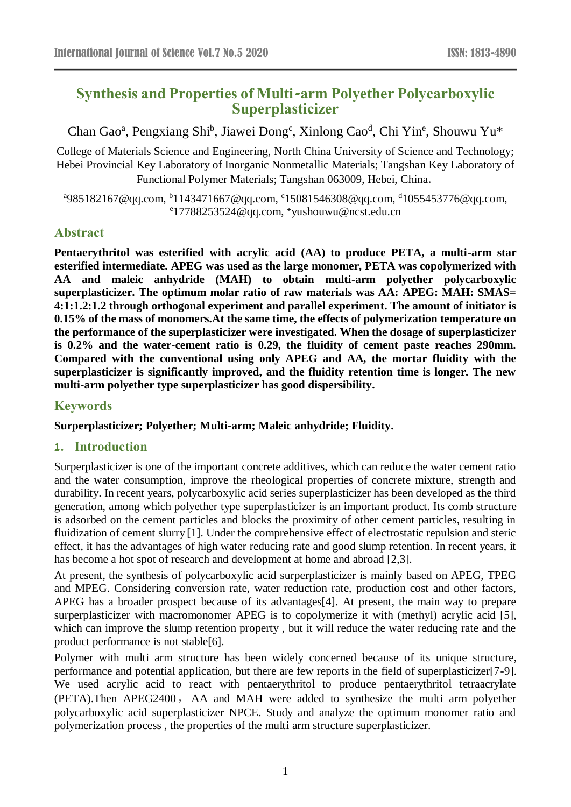# **Synthesis and Properties of Multi-arm Polyether Polycarboxylic Superplasticizer**

Chan Gao<sup>a</sup>, Pengxiang Shi<sup>b</sup>, Jiawei Dong<sup>c</sup>, Xinlong Cao<sup>d</sup>, Chi Yin<sup>e</sup>, Shouwu Yu\*

College of Materials Science and Engineering, North China University of Science and Technology; Hebei Provincial Key Laboratory of Inorganic Nonmetallic Materials; Tangshan Key Laboratory of Functional Polymer Materials; Tangshan 063009, Hebei, China.

<sup>a</sup>985182167@qq.com, <sup>b</sup>1143471667@qq.com, <sup>c</sup>15081546308@qq.com, <sup>d</sup>1055453776@qq.com, e 17788253524@qq.com, \*yushouwu@ncst.edu.cn

### **Abstract**

**Pentaerythritol was esterified with acrylic acid (AA) to produce PETA, a multi-arm star esterified intermediate. APEG was used as the large monomer, PETA was copolymerized with AA and maleic anhydride (MAH) to obtain multi-arm polyether polycarboxylic superplasticizer. The optimum molar ratio of raw materials was AA: APEG: MAH: SMAS= 4:1:1.2:1.2 through orthogonal experiment and parallel experiment. The amount of initiator is 0.15% of the mass of monomers.At the same time, the effects of polymerization temperature on the performance of the superplasticizer were investigated. When the dosage of superplasticizer is 0.2% and the water-cement ratio is 0.29, the fluidity of cement paste reaches 290mm. Compared with the conventional using only APEG and AA, the mortar fluidity with the superplasticizer is significantly improved, and the fluidity retention time is longer. The new multi-arm polyether type superplasticizer has good dispersibility.**

### **Keywords**

**Surperplasticizer; Polyether; Multi-arm; Maleic anhydride; Fluidity.**

#### **1. Introduction**

Surperplasticizer is one of the important concrete additives, which can reduce the water cement ratio and the water consumption, improve the rheological properties of concrete mixture, strength and durability. In recent years, polycarboxylic acid series superplasticizer has been developed as the third generation, among which polyether type superplasticizer is an important product. Its comb structure is adsorbed on the cement particles and blocks the proximity of other cement particles, resulting in fluidization of cement slurry [1]. Under the comprehensive effect of electrostatic repulsion and steric effect, it has the advantages of high water reducing rate and good slump retention. In recent years, it has become a hot spot of research and development at home and abroad [2,3].

At present, the synthesis of polycarboxylic acid surperplasticizer is mainly based on APEG, TPEG and MPEG. Considering conversion rate, water reduction rate, production cost and other factors, APEG has a broader prospect because of its advantages[4]. At present, the main way to prepare surperplasticizer with macromonomer APEG is to copolymerize it with (methyl) acrylic acid [5], which can improve the slump retention property , but it will reduce the water reducing rate and the product performance is not stable[6].

Polymer with multi arm structure has been widely concerned because of its unique structure, performance and potential application, but there are few reports in the field of superplasticizer[7-9]. We used acrylic acid to react with pentaerythritol to produce pentaerythritol tetraacrylate (PETA).Then APEG2400, AA and MAH were added to synthesize the multi arm polyether polycarboxylic acid superplasticizer NPCE. Study and analyze the optimum monomer ratio and polymerization process , the properties of the multi arm structure superplasticizer.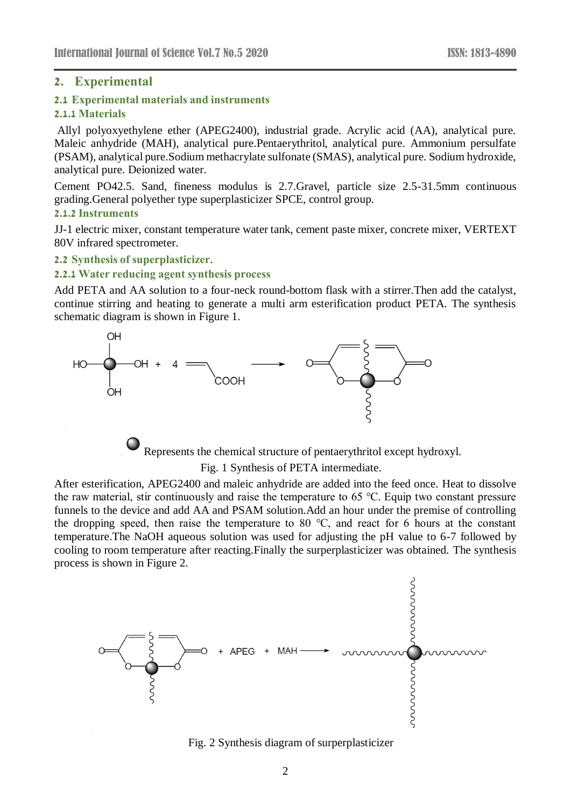### **2. Experimental**

### **2.1 Experimental materials and instruments**

#### **2.1.1 Materials**

Allyl polyoxyethylene ether (APEG2400), industrial grade. Acrylic acid (AA), analytical pure. Maleic anhydride (MAH), analytical pure.Pentaerythritol, analytical pure. Ammonium persulfate (PSAM), analytical pure.Sodium methacrylate sulfonate (SMAS), analytical pure. Sodium hydroxide, analytical pure. Deionized water.

Cement PO42.5. Sand, fineness modulus is 2.7.Gravel, particle size 2.5-31.5mm continuous grading.General polyether type superplasticizer SPCE, control group.

#### **2.1.2 Instruments**

JJ-1 electric mixer, constant temperature water tank, cement paste mixer, concrete mixer, VERTEXT 80V infrared spectrometer.

#### **2.2 Synthesis of superplasticizer.**

#### **2.2.1 Water reducing agent synthesis process**

Add PETA and AA solution to a four-neck round-bottom flask with a stirrer.Then add the catalyst, continue stirring and heating to generate a multi arm esterification product PETA. The synthesis schematic diagram is shown in Figure 1.



Represents the chemical structure of pentaerythritol except hydroxyl. Fig. 1 Synthesis of PETA intermediate.

After esterification, APEG2400 and maleic anhydride are added into the feed once. Heat to dissolve the raw material, stir continuously and raise the temperature to 65 ℃. Equip two constant pressure funnels to the device and add AA and PSAM solution.Add an hour under the premise of controlling the dropping speed, then raise the temperature to 80  $°C$ , and react for 6 hours at the constant temperature.The NaOH aqueous solution was used for adjusting the pH value to 6-7 followed by cooling to room temperature after reacting.Finally the surperplasticizer was obtained. The synthesis process is shown in Figure 2.



Fig. 2 Synthesis diagram of surperplasticizer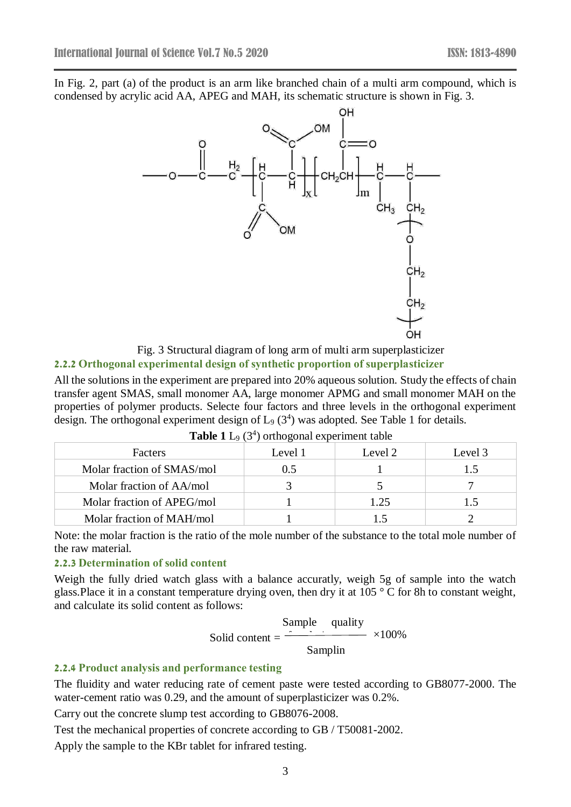In Fig. 2, part (a) of the product is an arm like branched chain of a multi arm compound, which is condensed by acrylic acid AA, APEG and MAH, its schematic structure is shown in Fig. 3.





## **2.2.2 Orthogonal experimental design of synthetic proportion of superplasticizer**

All the solutions in the experiment are prepared into 20% aqueous solution. Study the effects of chain transfer agent SMAS, small monomer AA, large monomer APMG and small monomer MAH on the properties of polymer products. Selecte four factors and three levels in the orthogonal experiment design. The orthogonal experiment design of  $L_9$  (3<sup>4</sup>) was adopted. See Table 1 for details.

| <b>Facters</b>             | Level 1 | Level 2 | Level 3 |
|----------------------------|---------|---------|---------|
| Molar fraction of SMAS/mol | 0.5     |         |         |
| Molar fraction of AA/mol   |         |         |         |
| Molar fraction of APEG/mol |         | 1.25    |         |
| Molar fraction of MAH/mol  |         |         |         |

| <b>Table 1</b> L <sub>9</sub> $(3^4)$ orthogonal experiment table |  |  |  |
|-------------------------------------------------------------------|--|--|--|
|-------------------------------------------------------------------|--|--|--|

Note: the molar fraction is the ratio of the mole number of the substance to the total mole number of the raw material.

#### **2.2.3 Determination of solid content**

Weigh the fully dried watch glass with a balance accuratly, weigh 5g of sample into the watch glass. Place it in a constant temperature drying oven, then dry it at  $105^{\circ}$  C for 8h to constant weight, and calculate its solid content as follows:

Solid content =

\n
$$
\frac{\text{Sample} \quad \text{quality}}{\text{Sampling}} \times 100\%
$$

### **2.2.4 Product analysis and performance testing**

The fluidity and water reducing rate of cement paste were tested according to GB8077-2000. The water-cement ratio was 0.29, and the amount of superplasticizer was 0.2%.

Carry out the concrete slump test according to GB8076-2008.

Test the mechanical properties of concrete according to GB / T50081-2002.

Apply the sample to the KBr tablet for infrared testing.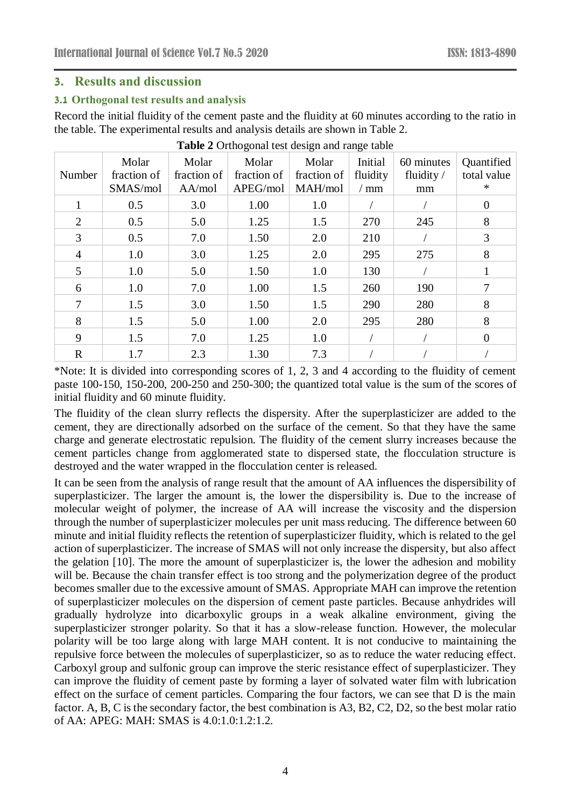### **3. Results and discussion**

#### **3.1 Orthogonal test results and analysis**

Record the initial fluidity of the cement paste and the fluidity at 60 minutes according to the ratio in the table. The experimental results and analysis details are shown in Table 2.

| Number         | Molar<br>fraction of<br>SMAS/mol | Molar<br>fraction of<br>AA/mol | Molar<br>fraction of<br>APEG/mol | Molar<br>fraction of<br>MAH/mol | Initial<br>fluidity<br>$/$ mm | 60 minutes<br>fluidity $/$<br>mm | Quantified<br>total value<br>$\ast$ |
|----------------|----------------------------------|--------------------------------|----------------------------------|---------------------------------|-------------------------------|----------------------------------|-------------------------------------|
|                | 0.5                              | 3.0                            | 1.00                             | 1.0                             |                               |                                  | $\theta$                            |
| 2              | 0.5                              | 5.0                            | 1.25                             | 1.5                             | 270                           | 245                              | 8                                   |
| 3              | 0.5                              | 7.0                            | 1.50                             | 2.0                             | 210                           |                                  | 3                                   |
| $\overline{4}$ | 1.0                              | 3.0                            | 1.25                             | 2.0                             | 295                           | 275                              | 8                                   |
| 5              | 1.0                              | 5.0                            | 1.50                             | 1.0                             | 130                           |                                  |                                     |
| 6              | 1.0                              | 7.0                            | 1.00                             | 1.5                             | 260                           | 190                              | 7                                   |
|                | 1.5                              | 3.0                            | 1.50                             | 1.5                             | 290                           | 280                              | 8                                   |
| 8              | 1.5                              | 5.0                            | 1.00                             | 2.0                             | 295                           | 280                              | 8                                   |
| 9              | 1.5                              | 7.0                            | 1.25                             | 1.0                             |                               |                                  | $\Omega$                            |
| $\mathbf R$    | 1.7                              | 2.3                            | 1.30                             | 7.3                             |                               |                                  |                                     |

**Table 2** Orthogonal test design and range table

\*Note: It is divided into corresponding scores of 1, 2, 3 and 4 according to the fluidity of cement paste 100-150, 150-200, 200-250 and 250-300; the quantized total value is the sum of the scores of initial fluidity and 60 minute fluidity.

The fluidity of the clean slurry reflects the dispersity. After the superplasticizer are added to the cement, they are directionally adsorbed on the surface of the cement. So that they have the same charge and generate electrostatic repulsion. The fluidity of the cement slurry increases because the cement particles change from agglomerated state to dispersed state, the flocculation structure is destroyed and the water wrapped in the flocculation center is released.

It can be seen from the analysis of range result that the amount of AA influences the dispersibility of superplasticizer. The larger the amount is, the lower the dispersibility is. Due to the increase of molecular weight of polymer, the increase of AA will increase the viscosity and the dispersion through the number of superplasticizer molecules per unit mass reducing. The difference between 60 minute and initial fluidity reflects the retention of superplasticizer fluidity, which is related to the gel action of superplasticizer. The increase of SMAS will not only increase the dispersity, but also affect the gelation [10]. The more the amount of superplasticizer is, the lower the adhesion and mobility will be. Because the chain transfer effect is too strong and the polymerization degree of the product becomes smaller due to the excessive amount of SMAS. Appropriate MAH can improve the retention of superplasticizer molecules on the dispersion of cement paste particles. Because anhydrides will gradually hydrolyze into dicarboxylic groups in a weak alkaline environment, giving the superplasticizer stronger polarity. So that it has a slow-release function. However, the molecular polarity will be too large along with large MAH content. It is not conducive to maintaining the repulsive force between the molecules of superplasticizer, so as to reduce the water reducing effect. Carboxyl group and sulfonic group can improve the steric resistance effect of superplasticizer. They can improve the fluidity of cement paste by forming a layer of solvated water film with lubrication effect on the surface of cement particles. Comparing the four factors, we can see that D is the main factor. A, B, C is the secondary factor, the best combination is A3, B2, C2, D2, so the best molar ratio of AA: APEG: MAH: SMAS is 4.0:1.0:1.2:1.2.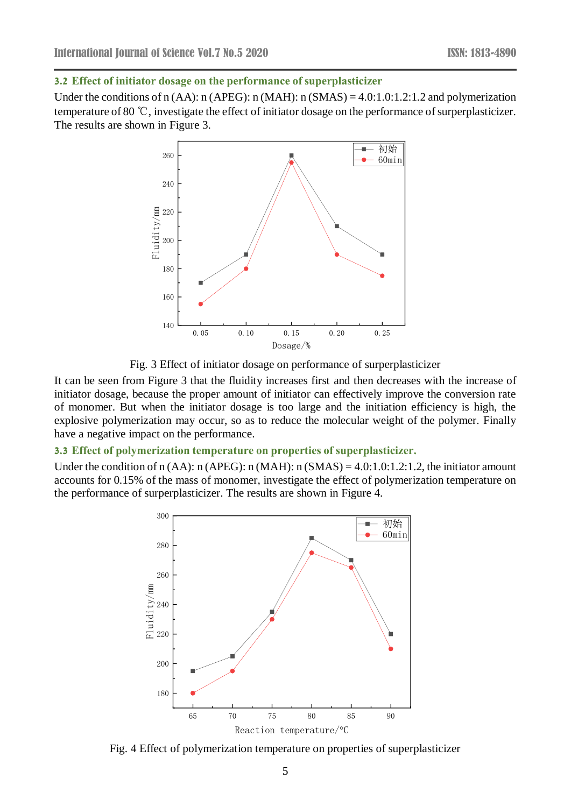#### **3.2 Effect of initiator dosage on the performance of superplasticizer**

Under the conditions of n (AA): n (APEG): n (MAH): n (SMAS) = 4.0:1.0:1.2:1.2 and polymerization temperature of 80 ℃, investigate the effect of initiator dosage on the performance of surperplasticizer. The results are shown in Figure 3.



Fig. 3 Effect of initiator dosage on performance of surperplasticizer

It can be seen from Figure 3 that the fluidity increases first and then decreases with the increase of initiator dosage, because the proper amount of initiator can effectively improve the conversion rate of monomer. But when the initiator dosage is too large and the initiation efficiency is high, the explosive polymerization may occur, so as to reduce the molecular weight of the polymer. Finally have a negative impact on the performance.

#### **3.3 Effect of polymerization temperature on properties of superplasticizer.**

Under the condition of  $n(AA)$ :  $n(APEG)$ :  $n(MAH)$ :  $n(SMAS) = 4.0:1.0:1.2:1.2$ , the initiator amount accounts for 0.15% of the mass of monomer, investigate the effect of polymerization temperature on the performance of surperplasticizer. The results are shown in Figure 4.



Fig. 4 Effect of polymerization temperature on properties of superplasticizer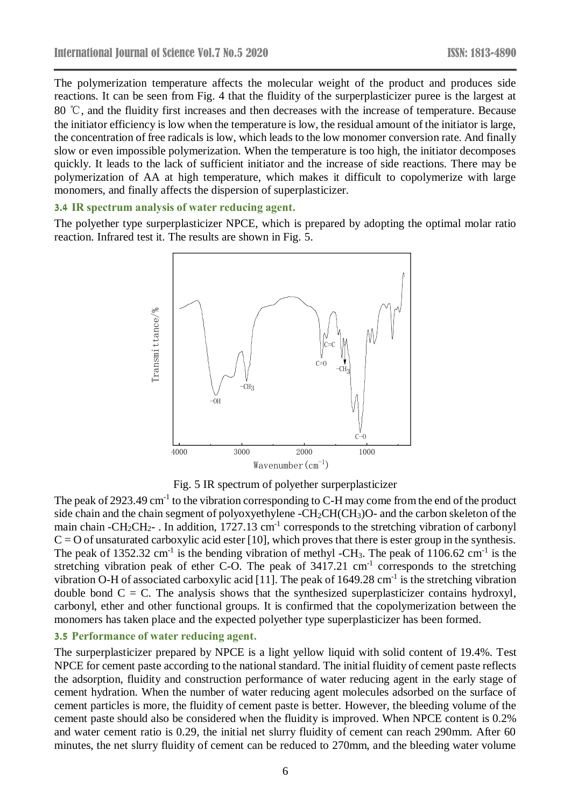The polymerization temperature affects the molecular weight of the product and produces side reactions. It can be seen from Fig. 4 that the fluidity of the surperplasticizer puree is the largest at 80 ℃, and the fluidity first increases and then decreases with the increase of temperature. Because the initiator efficiency is low when the temperature is low, the residual amount of the initiator is large, the concentration of free radicals is low, which leads to the low monomer conversion rate. And finally slow or even impossible polymerization. When the temperature is too high, the initiator decomposes quickly. It leads to the lack of sufficient initiator and the increase of side reactions. There may be polymerization of AA at high temperature, which makes it difficult to copolymerize with large monomers, and finally affects the dispersion of superplasticizer.

### **3.4 IR spectrum analysis of water reducing agent.**

The polyether type surperplasticizer NPCE, which is prepared by adopting the optimal molar ratio reaction. Infrared test it. The results are shown in Fig. 5.



Fig. 5 IR spectrum of polyether surperplasticizer

The peak of 2923.49  $cm^{-1}$  to the vibration corresponding to C-H may come from the end of the product side chain and the chain segment of polyoxyethylene - $CH_2CH(CH_3)O$ - and the carbon skeleton of the main chain - $CH_2CH_2$ - . In addition, 1727.13 cm<sup>-1</sup> corresponds to the stretching vibration of carbonyl  $C = 0$  of unsaturated carboxylic acid ester [10], which proves that there is ester group in the synthesis. The peak of 1352.32 cm<sup>-1</sup> is the bending vibration of methyl -CH<sub>3</sub>. The peak of 1106.62 cm<sup>-1</sup> is the stretching vibration peak of ether C-O. The peak of  $3417.21 \text{ cm}^{-1}$  corresponds to the stretching vibration O-H of associated carboxylic acid [11]. The peak of  $1649.28 \text{ cm}^{-1}$  is the stretching vibration double bond  $C = C$ . The analysis shows that the synthesized superplasticizer contains hydroxyl, carbonyl, ether and other functional groups. It is confirmed that the copolymerization between the monomers has taken place and the expected polyether type superplasticizer has been formed.

# **3.5 Performance of water reducing agent.**

The surperplasticizer prepared by NPCE is a light yellow liquid with solid content of 19.4%. Test NPCE for cement paste according to the national standard. The initial fluidity of cement paste reflects the adsorption, fluidity and construction performance of water reducing agent in the early stage of cement hydration. When the number of water reducing agent molecules adsorbed on the surface of cement particles is more, the fluidity of cement paste is better. However, the bleeding volume of the cement paste should also be considered when the fluidity is improved. When NPCE content is 0.2% and water cement ratio is 0.29, the initial net slurry fluidity of cement can reach 290mm. After 60 minutes, the net slurry fluidity of cement can be reduced to 270mm, and the bleeding water volume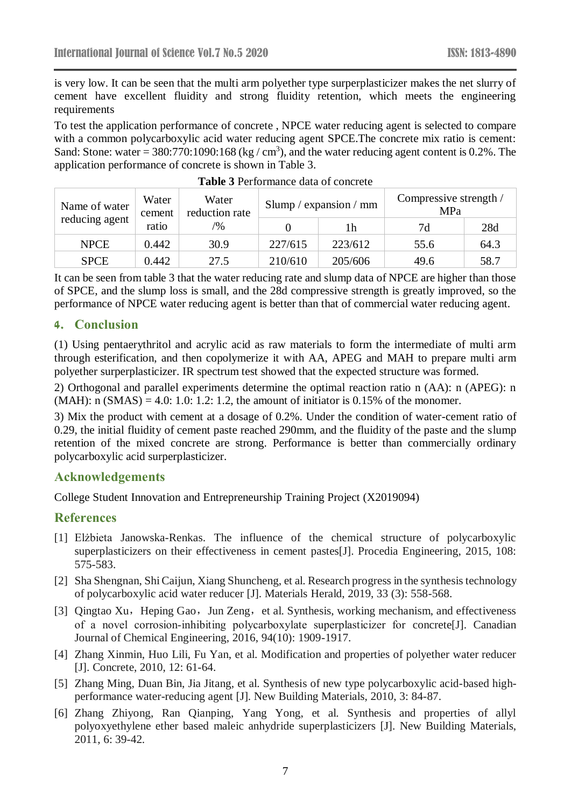is very low. It can be seen that the multi arm polyether type surperplasticizer makes the net slurry of cement have excellent fluidity and strong fluidity retention, which meets the engineering requirements

To test the application performance of concrete , NPCE water reducing agent is selected to compare with a common polycarboxylic acid water reducing agent SPCE.The concrete mix ratio is cement: Sand: Stone: water = 380:770:1090:168 (kg / cm<sup>3</sup>), and the water reducing agent content is 0.2%. The application performance of concrete is shown in Table 3.

| Name of water  | Water<br>Water<br>reduction rate<br>cement |               | Slump / expansion / mm |         | Compressive strength /<br>MPa |      |
|----------------|--------------------------------------------|---------------|------------------------|---------|-------------------------------|------|
| reducing agent | ratio                                      | $\frac{1}{2}$ |                        | lh      | 7d                            | 28d  |
| <b>NPCE</b>    | 0.442                                      | 30.9          | 227/615                | 223/612 | 55.6                          | 64.3 |
| <b>SPCE</b>    | 0.442                                      | 27.5          | 210/610                | 205/606 | 49.6                          | 58.7 |

| <b>Table 3 Performance data of concrete</b> |  |  |
|---------------------------------------------|--|--|
|---------------------------------------------|--|--|

It can be seen from table 3 that the water reducing rate and slump data of NPCE are higher than those of SPCE, and the slump loss is small, and the 28d compressive strength is greatly improved, so the performance of NPCE water reducing agent is better than that of commercial water reducing agent.

### **4. Conclusion**

(1) Using pentaerythritol and acrylic acid as raw materials to form the intermediate of multi arm through esterification, and then copolymerize it with AA, APEG and MAH to prepare multi arm polyether surperplasticizer. IR spectrum test showed that the expected structure was formed.

2) Orthogonal and parallel experiments determine the optimal reaction ratio n (AA): n (APEG): n  $(MAH)$ : n  $(SMAS) = 4.0$ : 1.0: 1.2: 1.2, the amount of initiator is 0.15% of the monomer.

3) Mix the product with cement at a dosage of 0.2%. Under the condition of water-cement ratio of 0.29, the initial fluidity of cement paste reached 290mm, and the fluidity of the paste and the slump retention of the mixed concrete are strong. Performance is better than commercially ordinary polycarboxylic acid surperplasticizer.

### **Acknowledgements**

College Student Innovation and Entrepreneurship Training Project (X2019094)

### **References**

- [1] Elżbieta Janowska-Renkas. The influence of the chemical structure of polycarboxylic superplasticizers on their effectiveness in cement pastes[J]. Procedia Engineering, 2015, 108: 575-583.
- [2] Sha Shengnan, Shi Caijun, Xiang Shuncheng, et al. Research progress in the synthesis technology of polycarboxylic acid water reducer [J]. Materials Herald, 2019, 33 (3): 558-568.
- [3] Qingtao Xu, Heping Gao, Jun Zeng, et al. Synthesis, working mechanism, and effectiveness of a novel corrosion‐inhibiting polycarboxylate superplasticizer for concrete[J]. Canadian Journal of Chemical Engineering, 2016, 94(10): 1909-1917.
- [4] Zhang Xinmin, Huo Lili, Fu Yan, et al. Modification and properties of polyether water reducer [J]. Concrete, 2010, 12: 61-64.
- [5] Zhang Ming, Duan Bin, Jia Jitang, et al. Synthesis of new type polycarboxylic acid-based highperformance water-reducing agent [J]. New Building Materials, 2010, 3: 84-87.
- [6] Zhang Zhiyong, Ran Qianping, Yang Yong, et al. Synthesis and properties of allyl polyoxyethylene ether based maleic anhydride superplasticizers [J]. New Building Materials, 2011, 6: 39-42.